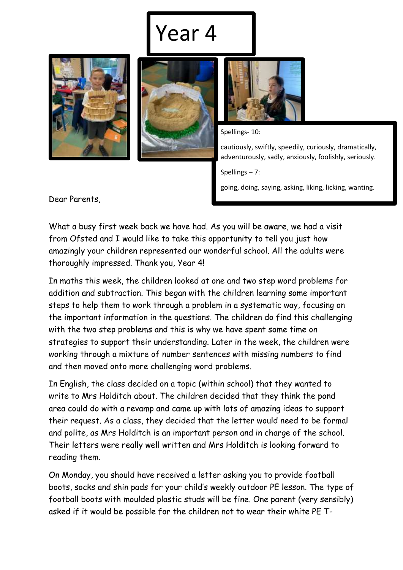## Year 4







Spellings- 10:

cautiously, swiftly, speedily, curiously, dramatically, adventurously, sadly, anxiously, foolishly, seriously.

Spellings – 7:

going, doing, saying, asking, liking, licking, wanting.

Dear Parents,

What a busy first week back we have had. As you will be aware, we had a visit from Ofsted and I would like to take this opportunity to tell you just how amazingly your children represented our wonderful school. All the adults were thoroughly impressed. Thank you, Year 4!

In maths this week, the children looked at one and two step word problems for addition and subtraction. This began with the children learning some important steps to help them to work through a problem in a systematic way, focusing on the important information in the questions. The children do find this challenging with the two step problems and this is why we have spent some time on strategies to support their understanding. Later in the week, the children were working through a mixture of number sentences with missing numbers to find and then moved onto more challenging word problems.

In English, the class decided on a topic (within school) that they wanted to write to Mrs Holditch about. The children decided that they think the pond area could do with a revamp and came up with lots of amazing ideas to support their request. As a class, they decided that the letter would need to be formal and polite, as Mrs Holditch is an important person and in charge of the school. Their letters were really well written and Mrs Holditch is looking forward to reading them.

On Monday, you should have received a letter asking you to provide football boots, socks and shin pads for your child's weekly outdoor PE lesson. The type of football boots with moulded plastic studs will be fine. One parent (very sensibly) asked if it would be possible for the children not to wear their white PE T-